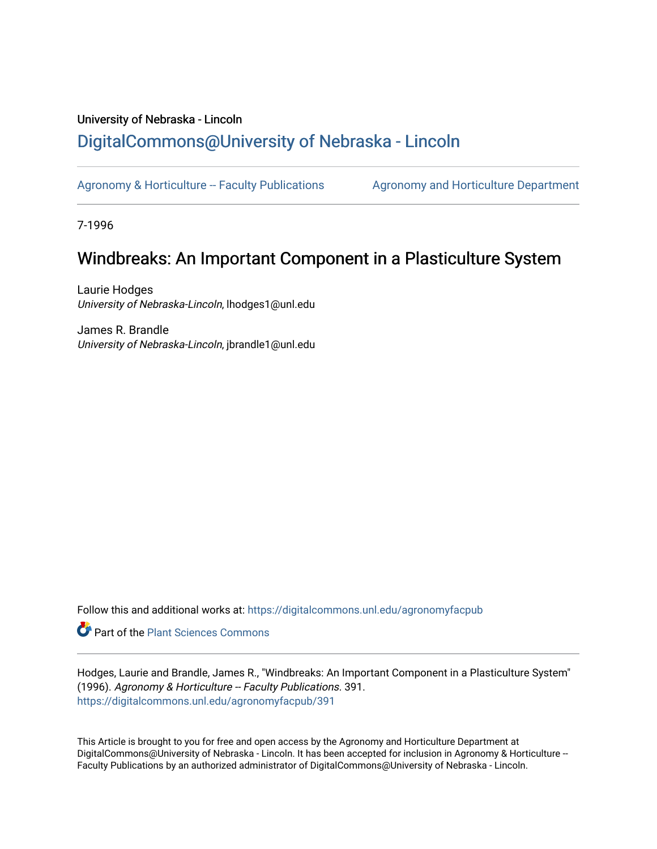### University of Nebraska - Lincoln [DigitalCommons@University of Nebraska - Lincoln](https://digitalcommons.unl.edu/)

[Agronomy & Horticulture -- Faculty Publications](https://digitalcommons.unl.edu/agronomyfacpub) Agronomy and Horticulture Department

7-1996

### Windbreaks: An Important Component in a Plasticulture System

Laurie Hodges University of Nebraska-Lincoln, lhodges1@unl.edu

James R. Brandle University of Nebraska-Lincoln, jbrandle1@unl.edu

Follow this and additional works at: [https://digitalcommons.unl.edu/agronomyfacpub](https://digitalcommons.unl.edu/agronomyfacpub?utm_source=digitalcommons.unl.edu%2Fagronomyfacpub%2F391&utm_medium=PDF&utm_campaign=PDFCoverPages)

Part of the [Plant Sciences Commons](http://network.bepress.com/hgg/discipline/102?utm_source=digitalcommons.unl.edu%2Fagronomyfacpub%2F391&utm_medium=PDF&utm_campaign=PDFCoverPages)

Hodges, Laurie and Brandle, James R., "Windbreaks: An Important Component in a Plasticulture System" (1996). Agronomy & Horticulture -- Faculty Publications. 391. [https://digitalcommons.unl.edu/agronomyfacpub/391](https://digitalcommons.unl.edu/agronomyfacpub/391?utm_source=digitalcommons.unl.edu%2Fagronomyfacpub%2F391&utm_medium=PDF&utm_campaign=PDFCoverPages)

This Article is brought to you for free and open access by the Agronomy and Horticulture Department at DigitalCommons@University of Nebraska - Lincoln. It has been accepted for inclusion in Agronomy & Horticulture --Faculty Publications by an authorized administrator of DigitalCommons@University of Nebraska - Lincoln.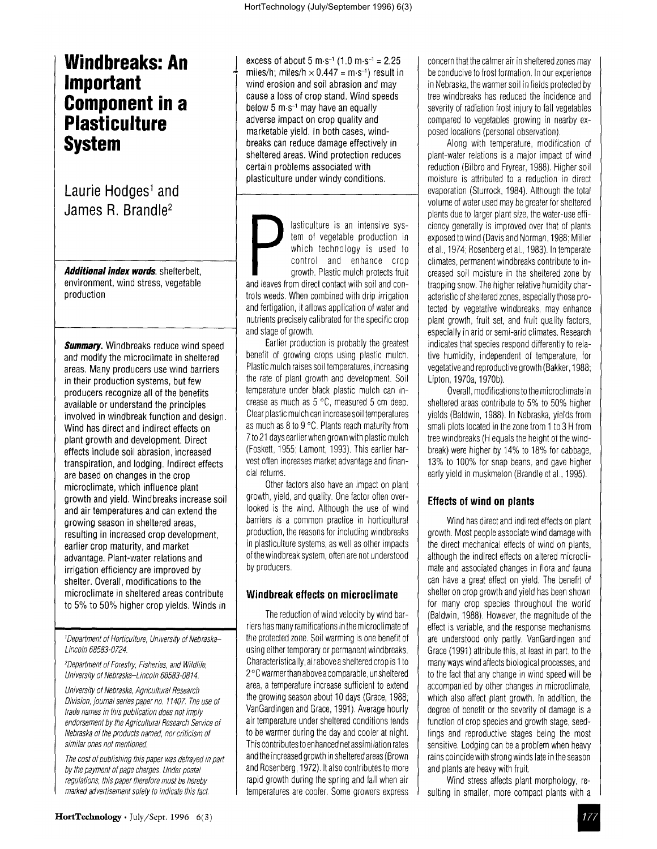# **Plasticulture**<br>System

## **Laurie** Hodqes' **and**

and modify the microclimate in sheltered benefit of growing crops using plastic mulch.<br>areas Many producers use wind barriers Plastic mulch raises soil temperatures, increasing areas. Many producers use wind barriers Plastic mulch raises soil temperatures, increasing<br>in their production systems, but few the rate of plant growth and development. Soil in their production systems, but few the rate of plant growth and development. Soil<br>producers recognize all of the benefits the remperature under black plastic mulch can inproducers recognize all of the benefits available or understand the principles crease as much as  $5^{\circ}$ C, measured 5 cm deep.<br>
involved in windbreak function and design Clear plastic mulch can increase soil temperatures involved in windbreak function and design. Wind has direct and indirect effects on  $\vert$  as much as 8 to 9 °C. Plants reach maturity from plant growth and development. Direct 7to 21 days earlier when grown with plastic mulch<br>effects include soil abrasion increased (Foskett, 1955; Lamont, 1993). This earlier hareffects include soil abrasion, increased (Foskett, 1955; Lamont, 1993). This earlier har-<br>transpiration, and lodging, Indirect effects (vest often increases market advantage and finantranspiration, and lodging. Indirect effects vest often in<br>are based on changes in the crop are based on changes in the crop and cial returns.<br>microclimate which influence plant of the factors also have an impact on plant microclimate, which influence plant<br>
arowth and vield Windbreaks increase soil growth, yield, and quality. One factor often overgrowth and yield. Windbreaks increase soil and air temperatures and can extend the looked is the wind. Although the use of wind growing season in sheltered areas,<br>
resulting in increased crop development<br>
production, the reasons for including windbreaks resulting in increased crop development, earlier crop maturity, and market in plasticulture systems, as well as other impacts advantage. Plant-water relations and advantage. Plant-water relations and of the windbreak system, often are not understood<br>
irrination efficiency are improved by irrigation efficiency are improved by shelter. Overall, modifications to the microclimate in sheltered areas contribute **Windbreak effects on microclimate** to 5% to 50% higher crop yields. Winds in

endorsement by the Agricultural Research Service of

**Windbreaks: An**  $\downarrow$  excess of about 5 m·s<sup>-1</sup> (1.0 m·s<sup>-1</sup> = 2.25<br> **Important**  $\downarrow$  miles/h; miles/h × 0.447 = m·s<sup>-1</sup>) result in<br>
wind erosion and soil abrasion and may miles/h; miles/h  $\times$  0.447 = m·s<sup>-1</sup>) result in wind erosion and soil abrasion and may cause a loss of crop stand. Wind speeds **Component in a**<br> **Component in a**<br> **adverse impact on crop quality and<br>
<b>DIASTIOULITIES** below 5 m·s-<sup>1</sup> may have an equally marketable vield. In both cases, windbreaks can reduce damage effectively in sheltered areas. Wind protection reduces certain problems associated with plasticulture under windy conditions.

Laurie Hodges<sup>1</sup> and<br>James R. Brandle<sup>2</sup><br>James R. Brandle<sup>2</sup> tem of vegetable production in which technology is used to control and enhance crop **Additional index words**. shelterbelt, **growth**, Plastic mulch protects fruit environment, wind stress, vegetable and leaves from direct contact with soil and con-<br>production and leaves when combined with drip irrination trols weeds. When combined with drip irrigation and fertigation, itallows application of water and nutrients precisely calibrated for the specific crop

and stage of growth. **Summary.** Windbreaks reduce wind speed **Earlier production is probably the greatest** and modify the microclimate in sheltered benefit of growing crops using plastic mulch.

marked advertisement solely to indicate this fact. The emperatures are cooler. Some growers express The reduction of wind velocity by wind barriers has many ramifications in the microclimate of 'Department of Horticulture, University of Nebraska-  $\parallel$  the protected zone. Soil warming is one benefit of Lincoln 68583-0724. **using either temporary or permanent windbreaks**, <sup>2</sup>Department of Forestry, Fisheries, and Wildlife, Characteristically, air above a sheltered crop is 1 to University of Nebraska-Lincoln 68583-0814.  $2^{\circ}$ C warmerthan above a comparable, unsheltered University of Nebraska, Agricultural Research area, a temperature increase sufficient to extend<br>
Division inversity of the growing season about 10 days (Grace, 1988; Division, journal series paper no. 11407. The use of the growing season about 10 days (Grace, 1988;<br>trade names in this qublication does not imply the Unit Carolingen and Grace, 1991). Average hourly trade names in this publication does not imply<br>endorsement by the Agricultural Research Service of air temperature under sheltered conditions tends Nebraska of the products named, nor criticism of  $\|\cdot\|$  to be warmer during the day and cooler at night. similar ones not mentioned. This contributes to enhanced net assimilation rates The cost of publishing this paper was defrayed in part  $\parallel$  and the increased growth in sheltered areas (Brown by the payment of page charges. Under postal and Rosenberg, 1972). It also contributes to more regulations, this paper therefore must be hereby rapid growth during the spring and fall when air

concern that the calmer air in sheltered zones may be conducive to frost formation, In our experience in Nebraska, the warmer soil in fields protected by tree windbreaks has reduced the incidence and severity of radiation frost injury to fall vegetables compared to vegetables growing in nearby exposed locations (personal observation).

Along with temperature, modification of plant-water relations is a major impact of wind reduction (Bilbro and Fryrear, 1988). Higher soil moisture is attributed to a reduction in direct evaporation (Sturrock, 1984), Although the total volume of water used may be greater for sheltered plants due to larger plant size, the water-use efficiency generally is improved over that of plants exposed to wind (Davis and Norman, 1988; Miller et al., 1974; Rosenberg et al., 1983) In temperate climates, permanent windbreaks contribute to increased soil moisture in the sheltered zone by trapping snow. The higher relative humidity characteristic of sheltered zones, especially those protected by vegetative windbreaks, may enhance plant growth, fruit set, and fruit quality factors, especially in arid or semi-arid climates, Research indicates that species respond differently to relative humidity, independent of temperature, for vegetative and reproductive growth (Bakker, 1988; Lipton, 1970a, 1970b).

Overall, modifications to the microclimate in sheltered areas contribute to 5% to 50% higher yields (Baldwin, 1988). In Nebraska, yields from small plots located in the zone from 1 to 3 H from tree windbreaks (H equals the height of the windbreak) were higher by 14% to 18% for cabbage, 13% to 100% for snap beans, and gave higher early yield in muskmelon (Brandle et aI., 1995).

#### **Effects of wind on plants**

Wind has direct and indirect effects on plant growth. Most people associate wind damage with the direct mechanical effects of wind on plants, although the indirect effects on altered microclimate and associated changes in flora and fauna can have a great effect on yield, The benefit of shelter on crop growth and yield has been shown for many crop species throughout the world (Baldwin, 1988). However, the magnitude of the effect is variable, and the response mechanisms are understood only partly, VanGardingen and Grace (1991) attribute this, at least in part, to the many ways wind affects biological processes, and to the fact that any change in wind speed will be accompanied by other changes in microclimate, which also affect plant growth. In addition, the degree of benefit or the severity of damage is a function of crop species and growth stage, seedlings and reproductive stages being the most sensitive. Lodging can be a problem when heavy rains coincide with strong winds late in the season and plants are heavy with fruit

Wind stress affects plant morphology, resulting in smaller, more compact plants with a marked advertisement solely to indicate this fact. <br>
HortTechnology · July/Sept. 1996 6(3)<br>
177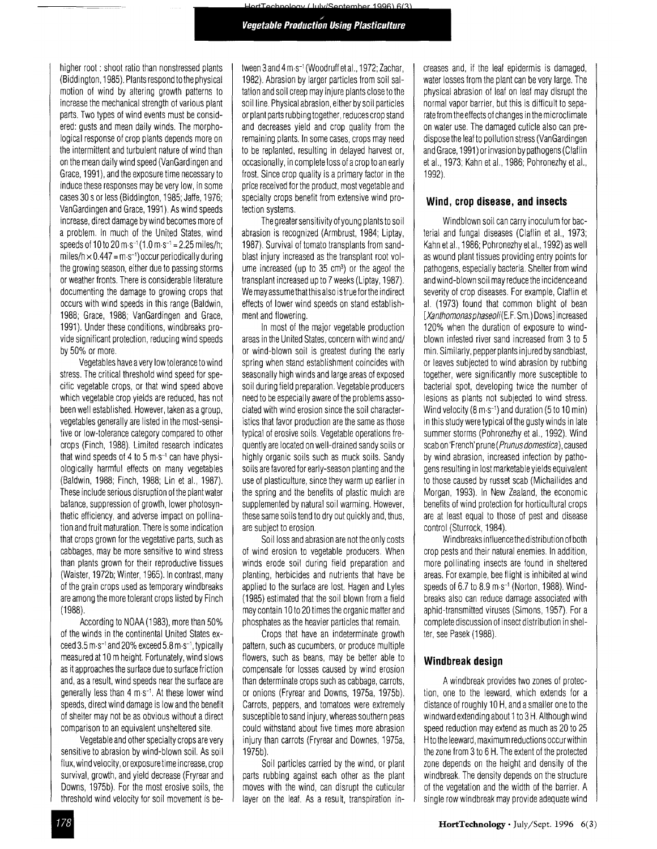(Sentember 1996) 6(3)

higher root: shoot ratio than nonstressed plants (Biddington, 1985). Plants respond to the physical motion of wind by altering growth patterns to increase the mechanical strength of various plant parts. Two types of wind events must be considered: gusts and mean daily winds, The morphological response of crop plants depends more on the intermittent and turbulent nature of wind than on the mean daily wind speed (VanGardingen and Grace, 1991), and the exposure time necessary to induce these responses may be very low, in some cases 30 sor less (Biddington, 1985; Jaffe, 1976; VanGardingen and Grace, 1991), As wind speeds increase, direct damage by wind becomes more of a problem. In much of the United States, wind speeds of 10 to 20 m·s<sup>-1</sup> (1.0 m·s<sup>-1</sup> = 2.25 miles/h; miles/h  $\times$  0.447 = m·s<sup>-1</sup>) occur periodically during the growing season, either due to passing storms or weather fronts. There is considerable literature documenting the damage to growing crops that occurs with wind speeds in this range (Baldwin, 1988; Grace, 1988; VanGardingen and Grace, 1991). Under these conditions, windbreaks provide significant protection, reducing wind speeds by 50% or more,

Vegetables have avery low tolerance to wind stress. The critical threshold wind speed for specific vegetable crops, or that wind speed above which vegetable crop yields are reduced, has not been well established, However, taken as agroup, vegetables generally are listed in the most-sensitive or low-tolerance category compared to other crops (Finch, 1988), Limited research indicates that wind speeds of 4 to 5  $m·s^{-1}$  can have physiologically harmful effects on many vegetables (Baldwin, 1988; Finch, 1988; Lin et al., 1987). These include serious disruption of the plant water balance, suppression of growth, lower photosynthetic efficiency, and adverse impact on pollination and fruit maturation. There is some indication that crops grown for the vegetative parts, such as cabbages, may be more sensitive to wind stress than plants grown for their reproductive tissues (Waister, 1972b; Winter, 1965). In contrast, many of the grain crops used as temporary windbreaks are among the more tolerant crops listed by Finch (1988).

According to NOAA (1983), more than 50% of the winds in the continental United States exceed 3.5 m·s<sup>-1</sup> and 20% exceed 5.8 m·s<sup>-1</sup>, typically measured at 10m height. Fortunately, wind slows as itapproaches the surface due to surface friction and, as aresult, wind speeds near the surface are generally less than  $4 \text{ m} \text{ s}^{-1}$ . At these lower wind speeds, direct wind damage is low and the benefit of shelter may not be as obvious without adirect comparison to an equivalent unsheltered site.

Vegetable and other specialty crops are very sensitive to abrasion by wind-blown soil. As soil flux, wind velocity, or exposure time increase, crop survival, growth, and yield decrease (Fryrear and Downs, 1975b), For the most erosive soils, the threshold wind velocity for soil movement is be thres<br> $\frac{178}{178}$ 

tween 3 and 4 m·s<sup>-1</sup> (Woodruff et al., 1972; Zachar, 1982). Abrasion by larger particles from soil saltation and soil creep may injure plants close to the soil line, Physical abrasion, either by soil particles or plant parts rubbing together, reduces crop stand and decreases yield and crop quality from the remaining plants. In some cases, crops may need to be replanted, resulting in delayed harvest or, occasionally, in complete loss of acrop to an early frost. Since crop quality is a primary factor in the price received for the product, most vegetable and specialty crops benefit from extensive wind protection systems.

The greater sensitivity of young plants to soil abrasion is recognized (Armbrust, 1984; Liptay, 1987). Survival of tomato transplants from sandblast injury increased as the transplant root volume increased (up to 35 cm<sup>3</sup>) or the ageof the transplant increased up to 7weeks (Liptay, 1987), We may assume that this also is true forthe indirect effects of lower wind speeds on stand establishment and flowering.

In most of the major vegetable production areas in the United States, concern with wind and/ or wind-blown soil is greatest during the early spring when stand establishment coincides with seasonally high winds and large areas of exposed soil during field preparation. Vegetable producers need to be especially aware of the problems associated with wind erosion since the soil characteristics that favor production are the same as those typical of erosive soils Vegetable operations frequently are located on well-drained sandy soils or highly organic soils such as muck soils. Sandy soils are favored for early-season planting and the use of plasticulture, since they warm up earlier in the spring and the benefits of plastic mulch are supplemented by natural soil warming. However, these same soils tend to dry out quickly and, thus, are subject to erosion,

Soil loss and abrasion are not the only costs of wind erosion to vegetable producers, When winds erode soil during field preparation and planting, herbicides and nutrients that have be applied to the surface are lost. Hagen and Lyles (1985) estimated that the soil blown from afield may contain 10 to 20 times the organic matter and phosphates as the heavier particles that remain.

Crops that have an indeterminate growth pattern, such as cucumbers, or produce multiple flowers, such as beans, may be better able to compensate for losses caused by wind erosion than determinate crops such as cabbage, carrots, or onions (Fryrear and Downs, 1975a, 1975b). Carrots, peppers, and tomatoes were extremely susceptible to sand injury, whereas southern peas could withstand about five times more abrasion injury than carrots (Fryrear and Downes, 1975a, 1975b),

Soil particles carried by the wind, or plant parts rubbing against each other as the plant moves with the wind, can disrupt the cuticular layer on the leaf. As a result, transpiration increases and, if the leaf epidermis is damaged, water losses from the plant can be very large. The physical abrasion of leaf on leaf may disrupt the normal vapor barrier, but this is difficult to separate from the effects of changes in the microclimate on water use, The damaged cuticle also can predispose the leaf to pollution stress (VanGardingen and Grace, 1991) or invasion by pathogens (Claflin et al., 1973; Kahn et al., 1986; Pohronezhy et aI., 1992).

#### **Wind, crop disease, and insects**

Windblown soil can carry inoculum for bacterial and fungal diseases (Claflin et aI., 1973; Kahn et al., 1986; Pohronezhy et al., 1992) as well as wound plant tissues providing entry points for pathogens, especially bacteria. Shelter from wind and wind-blown soil may reduce the incidence and severity of crop diseases. For example, Claflin et al. (1973) found that common blight of bean [Xanthomonasphaseoli(E.F. Sm.) Dows] increased 120% when the duration of exposure to windblown infested river sand increased from 3 to 5 min, Similarly, pepper plants injured by sandblast, or leaves subjected to wind abrasion by rubbing together, were significantly more susceptible to bacterial spot, developing twice the number of lesions as plants not subjected to wind stress. Wind velocity (8 m·s-') and duration (5 to 10 min) in this study were typical of the gusty winds in late summer storms (Pohronezhy et aI., 1992). Wind scab on 'French' prune (Prunus domestica), caused by wind abrasion, increased infection by pathogens resulting in lost marketable yields equivalent to those caused by russet scab (Michailides and Morgan, 1993). In New Zealand, the economic benefits of wind protection for horticultural crops are at least equal to those of pest and disease control (Sturrock, 1984).

Windbreaks influence the distribution of both crop pests and their natural enemies, In addition, more pollinating insects are found in sheltered areas. For example, bee flight is inhibited at wind speeds of 6.7 to 8.9 m $\cdot$ s<sup>-1</sup> (Norton, 1988). Windbreaks also can reduce damage associated with aphid-transmitted viruses (Simons, 1957). For a complete discussion of insect distribution in shelter, see Pasek (1988),

#### **Windbreak design**

Awindbreak provides two zones of protection, one to the leeward, which extends for a distance of roughly 10 H, and asmaller one to the windward extending about 1to 3H. Although wind speed reduction may extend as much as 20 to 25 Hto the leeward, maximum reductions occurwithin the zone from 3to 6H. The extent of the protected zone depends on the height and density of the windbreak. The density depends on the structure of the vegetation and the width of the barrier. A single row windbreak may provide adequate wind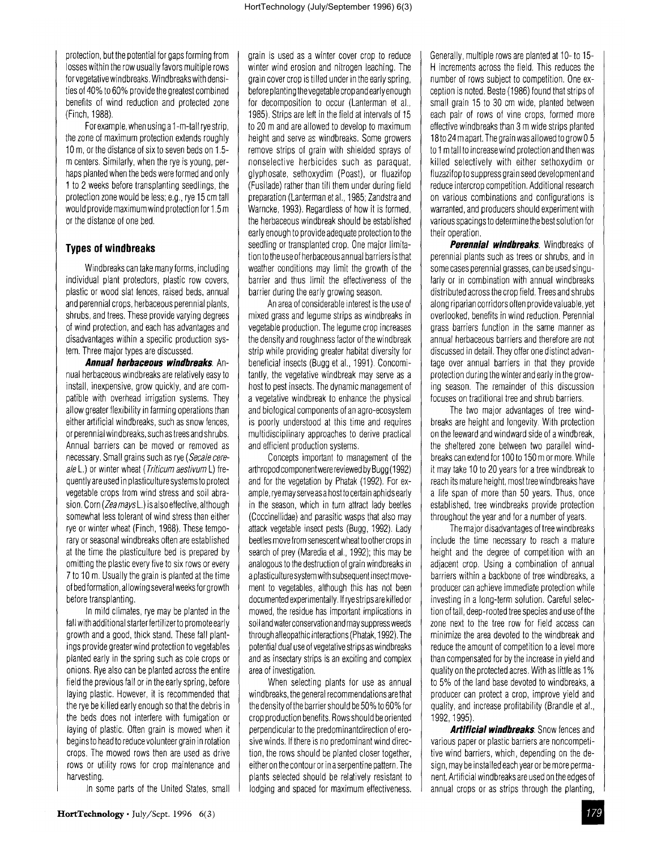protection, but the potential for gaps forming from losses within the row usually favors multiple rows for vegetative windbreaks. Windbreaks with densities of 40% to 60% provide the greatest combined benefits of wind reduction and protected zone (Finch, 1988)

Forexample, when using a1-m-tall ryestrip, the zone of maximum protection extends roughly 10 m, or the distance of six to seven beds on 1.5 mcenters. Similarly, when the rye isyoung, perhaps planted when the beds were formed and only 1to 2weeks before transplanting seedlings, the protection zone would be less; e.g., rye 15 cm tall would provide maximum wind protection for 1.5 m or the distance of one bed.

#### **Types of windbreaks**

Windbreaks can take many forms, including individual plant protectors, plastic row covers, plastic or wood slat fences, raised beds, annual and perennial crops, herbaceous perennial plants, shrubs, and trees. These provide varying degrees of wind protection, and each has advantages and disadvantages within a specific production system. Three major types are discussed.

**Annual herbaceous windbreaks.** Annual herbaceous windbreaks are relatively easy to install, inexpensive, grow quickly, and are compatible with overhead irrigation systems. They allow greater flexibility in farming operations than either artificial windbreaks, such as snow fences, or perennial windbreaks, such as trees and shrubs. Annual barriers can be moved or removed as necessary. Small grains such as rye (Secale cereale L.) or winter wheat (*Triticum aestivum* L) frequently are used inplasticulture systems to protect vegetable crops from wind stress and soil abrasion. Corn (Zea mays L.) is also effective, although somewhat less tolerant of wind stress than either rye or winter wheat (Finch, 1988). These temporary or seasonal windbreaks often are established at the time the plasticulture bed is prepared by omitting the plastic every five to six rows or every 7 to 10 m. Usually the grain is planted at the time of bed formation, allowing several weeks for growth before transplanting.

In mild climates, rye may be planted in the fall with additional starter fertilizer to promote early growth and agood, thick stand. These fall plantings provide greater wind protection to vegetables planted early in the spring such as cole crops or onions. Rye also can be planted across the entire field the previous fall or in the early spring, before laying plastic. However, it is recommended that the rye be killed early enough so that the debris in the beds does not interfere with fumigation or laying of plastic. Often grain is mowed when it begins to head to reduce volunteer grain inrotation crops. The mowed rows then are used as drive rows or utility rows for crop maintenance and harvesting.

In some parts of the United States, small

grain is used as a winter cover crop to reduce winter wind erosion and nitrogen leaching. The grain cover crop istilled under inthe early spring, before planting the vegetable crop and early enough for decomposition to occur (Lanterman et al., 1985). Strips are left in the field at intervals of 15 to 20 mand are allowed to develop to maximum height and serve as windbreaks. Some growers remove strips of grain with shielded sprays of nonselective herbicides such as paraquat, glyphosate, sethoxydim (Poast), or fluazifop (Fusilade) rather than till them under during field preparation (Lanterman et al., 1985; Zandstra and Warncke, 1993). Regardless of how it is formed, the herbaceous windbreak should be established early enough to provide adequate protection to the seedling or transplanted crop. One major limitation to the use of herbaceous annual barriers isthat weather conditions may limit the growth of the barrier and thus limit the effectiveness of the barrier during the early growing season.

An area of considerable interest is the use of mixed grass and legume strips as windbreaks in vegetable production. The legume crop increases the density and roughness factor of the windbreak strip while providing greater habitat diversity for beneficial insects (Bugg et al., 1991) Concomitantly, the vegetative windbreak may serve as a host to pest insects. The dynamic management of a vegetative windbreak to enhance the physical and biological components of an agro-ecosystem is poorly understood at this time and requires multidisciplinary approaches to derive practical and efficient production systems.

Concepts important to management of the arthropod component were reviewed by Bugg (1992) and for the vegetation by Phatak (1992). For example, rye may serveasa host to certain aphids early in the season, which in turn attract lady beetles (Coccinellidae) and parasitic wasps that also may attack vegetable insect pests (Bugg, 1992). Lady beetles move from senescent wheat to other crops in search of prey (Maredia et al., 1992); this may be analogous to the destruction of grain windbreaks in aplasticulture system with subsequent insect movement to vegetables, although this has not been documented experimentally. Ifrye strips are killed or mowed, the residue has important implications in soil and water conservation and maysuppress weeds through alleopathic interactions (Phatak, 1992). The potential dual use of vegetative strips as windbreaks and as insectary strips is an exciting and complex area of investigation.

When selecting plants for use as annual windbreaks, the general recommendations are that the density of the barrier should be 50% to 60% for crop production benefits. Rows should be oriented perpendicular to the predominantdirection of erosive winds. If there is no predominant wind direction, the rows should be planted closer together, either on the contour or in aserpentine pattern. The plants selected should be relatively resistant to lodging and spaced for maximum effectiveness.

Generally, multiple rows are planted at 10- to 15- Hincrements across the field. This reduces the number of rows subject to competition. One exception is noted. Beste (1986) found that strips of small grain 15 to 30 em wide, planted between each pair of rows of vine crops, formed more effective windbreaks than 3mwide strips planted 18to 24 mapart. The grain was allowed to grow 0.5 to 1mtall to increase wind protection and then was killed selectively with either sethoxydim or fluzazifop to suppress grain seed developmentand reduce intercrop competition. Additional research on various combinations and configurations is warranted, and producers should experiment with various spacings to determine the best solution for their operation.

**Perennial windbreaks.** Windbreaks of perennial plants such as trees or shrubs, and in some cases perennial grasses, can be used singularly or in combination with annual windbreaks distributed across the crop field. Trees and shrubs along riparian corridors often provide valuable, yet overlooked, benefits in wind reduction. Perennial grass barriers function in the same manner as annual herbaceous barriers and therefore are not discussed in detail. They offer one distinct advantage over annual barriers in that they provide protection during the winter and early in the growing season. The remainder of this discussion focuses on traditional tree and shrub barriers.

The two major advantages of tree windbreaks are height and longevity. With protection on the leeward and windward side of awindbreak, the sheltered zone between two parallel windbreaks can extend for 100 to 150 mor more. While it may take 10 to 20 years for atree windbreak to reach its mature height, most tree windbreaks have a life span of more than 50 years. Thus, once established, tree windbreaks provide protection throughout the year and for a number of years.

The major disadvantages of tree windbreaks include the time necessary to reach a mature height and the degree of competition with an adjacent crop. Using a combination of annual barriers within abackbone of tree windbreaks, a producer can achieve immediate protection while investing in a long-term solution. Careful selection of tall, deep-rooted tree species and use of the zone next to the tree row for field access can minimize the area devoted to the windbreak and reduce the amount of competition to alevel more than compensated for by the increase in yield and quality on the protected acres. With as little as 1% to 5% of the land base devoted to windbreaks, a producer can protect acrop, improve yield and quality, and increase profitability (Brandle et al., 1992,1995).

**Artificial windbreaks.** Snow fences and various paper or plastic barriers are noncompetitive wind barriers, which, depending on the design, may be installed each year or be more permanent. Artificial windbreaks are used on the edges of annual crops or as strips through the planting, ting,<br>179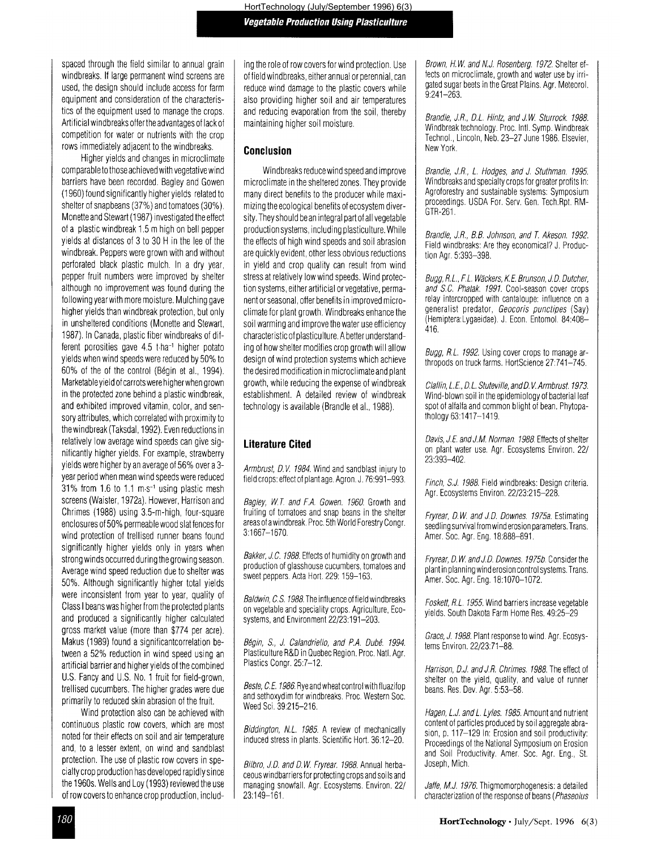spaced through the field similar to annual grain windbreaks. If large permanent wind screens are used, the design should include access for farm equipment and consideration of the characteristics of the equipment used to manage the crops. Artificial windbreaks offerthe advantages oflack of competition for water or nutrients with the crop rows immediately adjacent to the windbreaks.

Higher yields and changes in microclimate comparable tothose achieved with vegetative wind barriers have been recorded. Bagley and Gowen (1960) found significantly higher yields related to shelter of snapbeans (37%) and tomatoes (30%). Monette and Stewart (1987) investigated the effect ofa plastic windbreak 1.5 mhigh on bell pepper yields at distances of  $3$  to  $30$  H in the lee of the windbreak. Peppers were grown with and without perforated black plastic mulch, In a dry year, pepper fruit numbers were improved by shelter although no improvement was found during the following year with more moisture. Mulching gave higher yields than windbreak protection, but only in unsheltered conditions (Monette and Stewart, 1987). In Canada, plastic fiber windbreaks of different porosities gave 4.5 t-ha<sup>-1</sup> higher potato yields when wind speeds were reduced by 50% to 60% of the of the control (Begin et al., 1994). Marketable yield ofcarrots were higher when grown in the protected zone behind a plastic windbreak, and exhibited improved vitamin, color, and sensory attributes, which correlated with proximity to the windbreak (Taksdal, 1992). Even reductions in relatively low average wind speeds can give significantly higher yields. For example, strawberry yields were higher by an average of 56% over a3 year period when mean wind speeds were reduced 31% from 1.6 to 1.1  $m s^{-1}$  using plastic mesh screens (Waister, 1972a), However, Harrison and Chrimes (1988) using 3.5-m-high, four-square enclosures of50% permeable wood slat fences for wind protection of trellised runner beans found significantly higher yields only in years when strong winds occurred during the growing season. Average wind speed reduction due to shelter was 50%. Although significantly higher total yields were inconsistent from year to year, quality of Class Ibeans was higher from the protected plants and produced a significantly higher calculated gross market value (more than \$774 per acre). Makus (1989) found a significantcorrelation between a 52% reduction in wind speed using an artificial barrier and higher yields of the combined U.S. Fancy and U.S. No. 1 fruit for field-grown, trellised cucumbers, The higher grades were due primarily to reduced skin abrasion of the fruit.

Wind protection also can be achieved with continuous plastic row covers, which are most noted for their effects on soil and air temperature and, to a lesser extent, on wind and sandblast protection. The use of plastic row covers in specialtycrop production has developed rapidly since the 1960s. Wells and Loy (1993) reviewed the use ofrow covers to enhance crop production, including the role ofrow covers for wind protection. Use of field windbreaks, either annual or perennial, can reduce wind damage to the plastic covers while also providing higher soil and air temperatures and reducing evaporation from the soil, thereby maintaining higher soil moisture,

#### **Conclusion**

Windbreaks reduce wind speed and improve microclimate in the sheltered zones. They provide many direct benefits to the producer while maximizing the ecological benefits of ecosystem diversity, They should bean integral part of all vegetable production systems, including plasticulture. While the effects of high wind speeds and soil abrasion are quickly evident, other less obvious reductions in yield and crop quality can result from wind stress at relatively low wind speeds. Wind protection systems, either artificial or vegetative, permanent or seasonal, offer benefits in improved microclimate for plant growth Windbreaks enhance the soil warming and improve the water use efficiency characteristic of plasticulture. Abetter understanding of how shelter modifies crop growth will allow design of wind protection systems which achieve the desired modification in microclimate and plant growth, while reducing the expense of windbreak establishment. A detailed review of windbreak technology is available (Brandle et al., 1988).

#### **Literature Cited**

Armbrust, D.V. 1984. Wind and sandblast injury to field crops: effect of plant age. Agron. J. 76:991-993.

Bagley, W*T.* and F.A. Gowen. 1960. Growth and fruiting of tomatoes and snap beans in the shelter areas of a windbreak. Proc. 5th World Forestry Congr. 3:1667-1670

Bakker, J.C. 1988. Effects of humidity on growth and production of glasshouse cucumbers, tomatoes and sweet peppers. Acta Hort. 229: 159-163.

Baldwin, C.S. 1988. The influence of field windbreaks on vegetable and speciality crops. Agriculture, Ecosystems, and Environment 22/23:191-203.

Bégin, S., J. Calandriello, and P.A. Dubé. 1994. Plasticulture R&D in Quebec Region. Proc. Natl. Agr. Plastics Congr. 25:7-12.

Beste, C.E. 1986, Rye and wheat control with fluazifop and sethoxydim for windbreaks, Proc, Western Soc. Weed Sci. 39:215-216,

Biddington, N.L. 1985. A review of mechanically induced stress in plants. Scientific Hort. 36:12-20,

Bilbro, J.D. and D.W. Fryrear, 1988. Annual herbaceous windbarriers for protecting crops and soi Is and managing snowfall. Agr. Ecosystems. Environ. 22/ 23:149-161.

Brown, H.W. and N.J. Rosenberg. 1972. Shelter effects on microclimate, growth and water use by irrigated sugar beets in the Great Plains. Agr. Meteorol. 9:241-263.

Brandle, J.R., D.L. Hintz, and J.W. Sturrock. 1988. Windbreak technology. Proc. Inti. Symp. Windbreak Technol., Lincoln, Neb. 23-27 June 1986, Elsevier, New York.

Brandle, J.R., L. Hodges, and J. Stuthman. 1995. Windbreaks and specialty crops for greater profits In: Agroforestry and sustainable systems: Symposium proceedings. USDA For. Serv. Gen. Tech.Rpt. RM-GTR-261.

Brandte, JR, BB. Johnson, and *T.* Akeson. 1992. Field windbreaks: Are they economical? J. Production Agr. 5:393-398.

Bugg, R.L., F.L. Wäckers, K.E. Brunson, J.D. Dutcher, and S.C. Phatak. 1991. Cool-season cover crops relay intercropped with cantaloupe: influence on a generalist predator, Geocoris punctipes (Say) (HemipteraLygaeidae), J. Econ. Entomol. 84:408- 416.

Bugg, R.L. 1992. Using cover crops to manage arthropods on truck farms. HortScience 27:741-745.

Claflin, L.E., D.L. Stuteville, and D.V. Armbrust. 1973. Wind-blown soil in the epidemiology of bacterial leaf spot of alfalfa and common blight of bean. Phytopathology 63:1417-1419,

Davis, J.E. and J.M. Norman, 1988. Effects of shelter on plant water use, Agr. Ecosystems Environ. 22/ 23:393-402,

Finch, S.J. 1988. Field windbreaks: Design criteria. Agr. Ecosystems Environ, 22/23:215-228,

Fryrear, D.W. and J.D. Downes, 1975a. Estimating seedling survival from wind erosion parameters. Trans, Arner. Soc. Agr Eng. 18:888-891,

Fryrear, D.W. and J.D. Downes. 1975b. Consider the plant in planning wind erosion control systems, Trans. Amer. Soc. Agr. Eng. 18:1070-1072.

Foskett, RL. 1955. Wind barriers increase vegetable yields. South Dakota Farm Home Res. 49:25-29

Grace, J. 1988. Plant response to wind. Agr. Ecosystems Environ. 22/23:71-88.

Harrison, D.J. and J.R. Chrimes, 1988. The effect of shelter on the yield, quality, and value of runner beans, Res, Dev. Agr. 5:53-58.

Hagen, L.J. and L. Lyles. 1985. Amount and nutrient content of particles produced by soil aggregate abrasion, p. 117-129 In: Erosion and soil productivity: Proceedings of the National Symposium on Erosion and Soil Productivity. Amer. Soc. Agr. Eng., St. Joseph, Mich.

Jaffe, M.J. 1976. Thigmomorphogenesis: a detailed characterization of the response of beans (Phaseolus